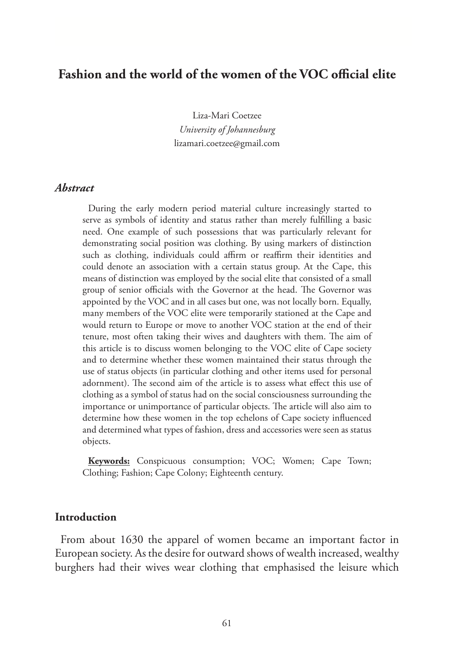# **Fashion and the world of the women of the VOC official elite**

Liza-Mari Coetzee *University of Johannesburg* lizamari.coetzee@gmail.com

#### *Abstract*

During the early modern period material culture increasingly started to serve as symbols of identity and status rather than merely fulfilling a basic need. One example of such possessions that was particularly relevant for demonstrating social position was clothing. By using markers of distinction such as clothing, individuals could affirm or reaffirm their identities and could denote an association with a certain status group. At the Cape, this means of distinction was employed by the social elite that consisted of a small group of senior officials with the Governor at the head. The Governor was appointed by the VOC and in all cases but one, was not locally born. Equally, many members of the VOC elite were temporarily stationed at the Cape and would return to Europe or move to another VOC station at the end of their tenure, most often taking their wives and daughters with them. The aim of this article is to discuss women belonging to the VOC elite of Cape society and to determine whether these women maintained their status through the use of status objects (in particular clothing and other items used for personal adornment). The second aim of the article is to assess what effect this use of clothing as a symbol of status had on the social consciousness surrounding the importance or unimportance of particular objects. The article will also aim to determine how these women in the top echelons of Cape society influenced and determined what types of fashion, dress and accessories were seen as status objects.

**Keywords:** Conspicuous consumption; VOC; Women; Cape Town; Clothing; Fashion; Cape Colony; Eighteenth century.

#### **Introduction**

From about 1630 the apparel of women became an important factor in European society. As the desire for outward shows of wealth increased, wealthy burghers had their wives wear clothing that emphasised the leisure which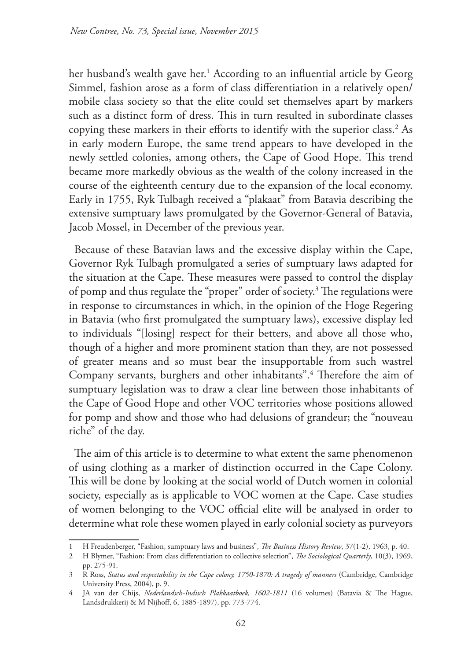her husband's wealth gave her.1 According to an influential article by Georg Simmel, fashion arose as a form of class differentiation in a relatively open/ mobile class society so that the elite could set themselves apart by markers such as a distinct form of dress. This in turn resulted in subordinate classes copying these markers in their efforts to identify with the superior class.<sup>2</sup> As in early modern Europe, the same trend appears to have developed in the newly settled colonies, among others, the Cape of Good Hope. This trend became more markedly obvious as the wealth of the colony increased in the course of the eighteenth century due to the expansion of the local economy. Early in 1755, Ryk Tulbagh received a "plakaat" from Batavia describing the extensive sumptuary laws promulgated by the Governor-General of Batavia, Jacob Mossel, in December of the previous year.

Because of these Batavian laws and the excessive display within the Cape, Governor Ryk Tulbagh promulgated a series of sumptuary laws adapted for the situation at the Cape. These measures were passed to control the display of pomp and thus regulate the "proper" order of society.3 The regulations were in response to circumstances in which, in the opinion of the Hoge Regering in Batavia (who first promulgated the sumptuary laws), excessive display led to individuals "[losing] respect for their betters, and above all those who, though of a higher and more prominent station than they, are not possessed of greater means and so must bear the insupportable from such wastrel Company servants, burghers and other inhabitants".4 Therefore the aim of sumptuary legislation was to draw a clear line between those inhabitants of the Cape of Good Hope and other VOC territories whose positions allowed for pomp and show and those who had delusions of grandeur; the "nouveau riche" of the day.

The aim of this article is to determine to what extent the same phenomenon of using clothing as a marker of distinction occurred in the Cape Colony. This will be done by looking at the social world of Dutch women in colonial society, especially as is applicable to VOC women at the Cape. Case studies of women belonging to the VOC official elite will be analysed in order to determine what role these women played in early colonial society as purveyors

<sup>1</sup> H Freudenberger, "Fashion, sumptuary laws and business", *The Business History Review*, 37(1-2), 1963, p. 40.

<sup>2</sup> H Blymer, "Fashion: From class differentiation to collective selection", *The Sociological Quarterly*, 10(3), 1969, pp. 275-91.

<sup>3</sup> R Ross, *Status and respectability in the Cape colony, 1750-1870: A tragedy of manners* (Cambridge, Cambridge University Press, 2004), p. 9.

<sup>4</sup> JA van der Chijs, *Nederlandsch-Indisch Plakkaatboek, 1602-1811* (16 volumes) (Batavia & The Hague, Landsdrukkerij & M Nijhoff, 6, 1885-1897), pp. 773-774.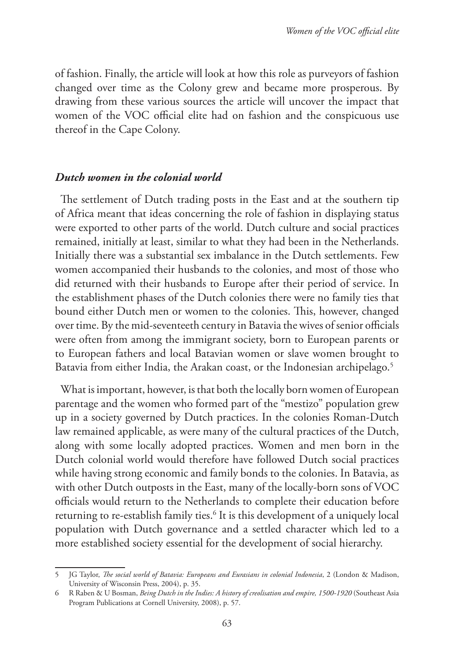of fashion. Finally, the article will look at how this role as purveyors of fashion changed over time as the Colony grew and became more prosperous. By drawing from these various sources the article will uncover the impact that women of the VOC official elite had on fashion and the conspicuous use thereof in the Cape Colony.

#### *Dutch women in the colonial world*

The settlement of Dutch trading posts in the East and at the southern tip of Africa meant that ideas concerning the role of fashion in displaying status were exported to other parts of the world. Dutch culture and social practices remained, initially at least, similar to what they had been in the Netherlands. Initially there was a substantial sex imbalance in the Dutch settlements. Few women accompanied their husbands to the colonies, and most of those who did returned with their husbands to Europe after their period of service. In the establishment phases of the Dutch colonies there were no family ties that bound either Dutch men or women to the colonies. This, however, changed over time. By the mid-seventeeth century in Batavia the wives of senior officials were often from among the immigrant society, born to European parents or to European fathers and local Batavian women or slave women brought to Batavia from either India, the Arakan coast, or the Indonesian archipelago.<sup>5</sup>

What is important, however, is that both the locally born women of European parentage and the women who formed part of the "mestizo" population grew up in a society governed by Dutch practices. In the colonies Roman-Dutch law remained applicable, as were many of the cultural practices of the Dutch, along with some locally adopted practices. Women and men born in the Dutch colonial world would therefore have followed Dutch social practices while having strong economic and family bonds to the colonies. In Batavia, as with other Dutch outposts in the East, many of the locally-born sons of VOC officials would return to the Netherlands to complete their education before returning to re-establish family ties.<sup>6</sup> It is this development of a uniquely local population with Dutch governance and a settled character which led to a more established society essential for the development of social hierarchy.

<sup>5</sup> JG Taylor, *The social world of Batavia: Europeans and Eurasians in colonial Indonesia*, 2 (London & Madison, University of Wisconsin Press, 2004), p. 35.

<sup>6</sup> R Raben & U Bosman, *Being Dutch in the Indies: A history of creolisation and empire, 1500-1920* (Southeast Asia Program Publications at Cornell University, 2008), p. 57.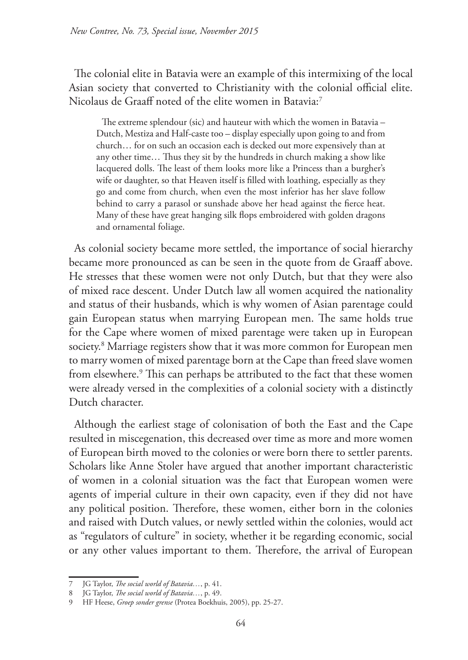The colonial elite in Batavia were an example of this intermixing of the local Asian society that converted to Christianity with the colonial official elite. Nicolaus de Graaff noted of the elite women in Batavia:<sup>7</sup>

The extreme splendour (sic) and hauteur with which the women in Batavia – Dutch, Mestiza and Half-caste too – display especially upon going to and from church… for on such an occasion each is decked out more expensively than at any other time… Thus they sit by the hundreds in church making a show like lacquered dolls. The least of them looks more like a Princess than a burgher's wife or daughter, so that Heaven itself is filled with loathing, especially as they go and come from church, when even the most inferior has her slave follow behind to carry a parasol or sunshade above her head against the fierce heat. Many of these have great hanging silk flops embroidered with golden dragons and ornamental foliage.

As colonial society became more settled, the importance of social hierarchy became more pronounced as can be seen in the quote from de Graaff above. He stresses that these women were not only Dutch, but that they were also of mixed race descent. Under Dutch law all women acquired the nationality and status of their husbands, which is why women of Asian parentage could gain European status when marrying European men. The same holds true for the Cape where women of mixed parentage were taken up in European society.8 Marriage registers show that it was more common for European men to marry women of mixed parentage born at the Cape than freed slave women from elsewhere.9 This can perhaps be attributed to the fact that these women were already versed in the complexities of a colonial society with a distinctly Dutch character.

Although the earliest stage of colonisation of both the East and the Cape resulted in miscegenation, this decreased over time as more and more women of European birth moved to the colonies or were born there to settler parents. Scholars like Anne Stoler have argued that another important characteristic of women in a colonial situation was the fact that European women were agents of imperial culture in their own capacity, even if they did not have any political position. Therefore, these women, either born in the colonies and raised with Dutch values, or newly settled within the colonies, would act as "regulators of culture" in society, whether it be regarding economic, social or any other values important to them. Therefore, the arrival of European

<sup>7</sup> JG Taylor, *The social world of Batavia…*, p. 41.

<sup>8</sup> JG Taylor, *The social world of Batavia…*, p. 49.

<sup>9</sup> HF Heese, *Groep sonder grense* (Protea Boekhuis, 2005), pp. 25-27.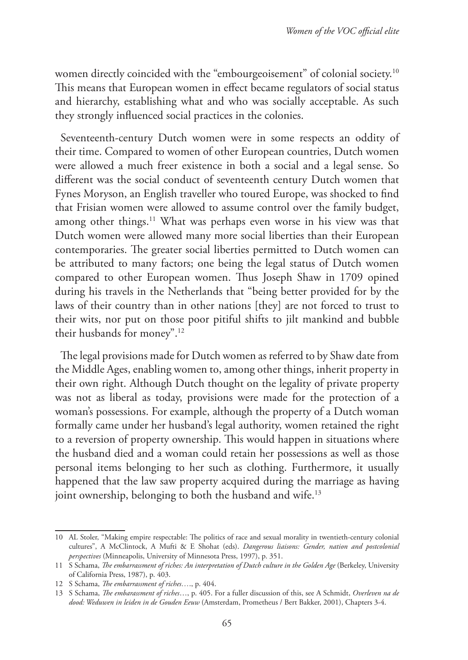women directly coincided with the "embourgeoisement" of colonial society.<sup>10</sup> This means that European women in effect became regulators of social status and hierarchy, establishing what and who was socially acceptable. As such they strongly influenced social practices in the colonies.

Seventeenth-century Dutch women were in some respects an oddity of their time. Compared to women of other European countries, Dutch women were allowed a much freer existence in both a social and a legal sense. So different was the social conduct of seventeenth century Dutch women that Fynes Moryson, an English traveller who toured Europe, was shocked to find that Frisian women were allowed to assume control over the family budget, among other things.<sup>11</sup> What was perhaps even worse in his view was that Dutch women were allowed many more social liberties than their European contemporaries. The greater social liberties permitted to Dutch women can be attributed to many factors; one being the legal status of Dutch women compared to other European women. Thus Joseph Shaw in 1709 opined during his travels in the Netherlands that "being better provided for by the laws of their country than in other nations [they] are not forced to trust to their wits, nor put on those poor pitiful shifts to jilt mankind and bubble their husbands for money".12

The legal provisions made for Dutch women as referred to by Shaw date from the Middle Ages, enabling women to, among other things, inherit property in their own right. Although Dutch thought on the legality of private property was not as liberal as today, provisions were made for the protection of a woman's possessions. For example, although the property of a Dutch woman formally came under her husband's legal authority, women retained the right to a reversion of property ownership. This would happen in situations where the husband died and a woman could retain her possessions as well as those personal items belonging to her such as clothing. Furthermore, it usually happened that the law saw property acquired during the marriage as having joint ownership, belonging to both the husband and wife.<sup>13</sup>

<sup>10</sup> AL Stoler, "Making empire respectable: The politics of race and sexual morality in twentieth-century colonial cultures", A McClintock, A Mufti & E Shohat (eds). *Dangerous liaisons: Gender, nation and postcolonial perspectives* (Minneapolis, University of Minnesota Press, 1997), p. 351.

<sup>11</sup> S Schama, *The embarrassment of riches: An interpretation of Dutch culture in the Golden Age* (Berkeley, University of California Press, 1987), p. 403.

<sup>12</sup> S Schama, *The embarrassment of riches…*., p. 404.

<sup>13</sup> S Schama, *The embarassment of riches*…, p. 405. For a fuller discussion of this, see A Schmidt, *Overleven na de dood: Weduwen in leiden in de Gouden Eeuw* (Amsterdam, Prometheus / Bert Bakker, 2001), Chapters 3-4.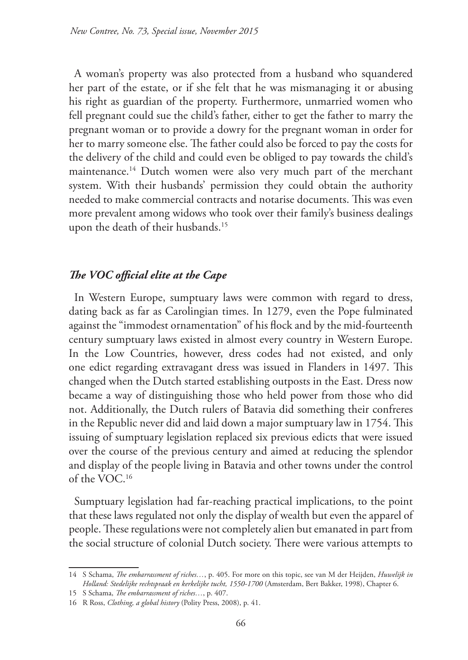A woman's property was also protected from a husband who squandered her part of the estate, or if she felt that he was mismanaging it or abusing his right as guardian of the property. Furthermore, unmarried women who fell pregnant could sue the child's father, either to get the father to marry the pregnant woman or to provide a dowry for the pregnant woman in order for her to marry someone else. The father could also be forced to pay the costs for the delivery of the child and could even be obliged to pay towards the child's maintenance.14 Dutch women were also very much part of the merchant system. With their husbands' permission they could obtain the authority needed to make commercial contracts and notarise documents. This was even more prevalent among widows who took over their family's business dealings upon the death of their husbands.15

# *The VOC official elite at the Cape*

In Western Europe, sumptuary laws were common with regard to dress, dating back as far as Carolingian times. In 1279, even the Pope fulminated against the "immodest ornamentation" of his flock and by the mid-fourteenth century sumptuary laws existed in almost every country in Western Europe. In the Low Countries, however, dress codes had not existed, and only one edict regarding extravagant dress was issued in Flanders in 1497. This changed when the Dutch started establishing outposts in the East. Dress now became a way of distinguishing those who held power from those who did not. Additionally, the Dutch rulers of Batavia did something their confreres in the Republic never did and laid down a major sumptuary law in 1754. This issuing of sumptuary legislation replaced six previous edicts that were issued over the course of the previous century and aimed at reducing the splendor and display of the people living in Batavia and other towns under the control of the VOC.16

Sumptuary legislation had far-reaching practical implications, to the point that these laws regulated not only the display of wealth but even the apparel of people. These regulations were not completely alien but emanated in part from the social structure of colonial Dutch society. There were various attempts to

<sup>14</sup> S Schama, *The embarrassment of riches…*, p. 405. For more on this topic, see van M der Heijden, *Huwelijk in Holland: Stedelijke rechtspraak en kerkelijke tucht, 1550-1700* (Amsterdam, Bert Bakker, 1998), Chapter 6.

<sup>15</sup> S Schama, *The embarrassment of riches…*, p. 407.

<sup>16</sup> R Ross, *Clothing, a global history* (Polity Press, 2008), p. 41.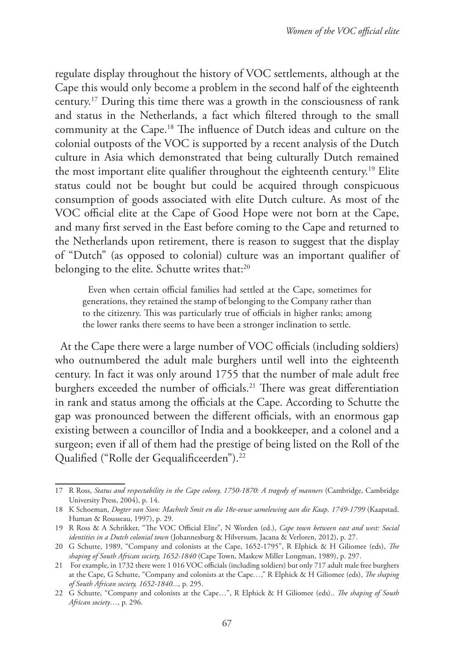regulate display throughout the history of VOC settlements, although at the Cape this would only become a problem in the second half of the eighteenth century.17 During this time there was a growth in the consciousness of rank and status in the Netherlands, a fact which filtered through to the small community at the Cape.18 The influence of Dutch ideas and culture on the colonial outposts of the VOC is supported by a recent analysis of the Dutch culture in Asia which demonstrated that being culturally Dutch remained the most important elite qualifier throughout the eighteenth century.19 Elite status could not be bought but could be acquired through conspicuous consumption of goods associated with elite Dutch culture. As most of the VOC official elite at the Cape of Good Hope were not born at the Cape, and many first served in the East before coming to the Cape and returned to the Netherlands upon retirement, there is reason to suggest that the display of "Dutch" (as opposed to colonial) culture was an important qualifier of belonging to the elite. Schutte writes that:<sup>20</sup>

Even when certain official families had settled at the Cape, sometimes for generations, they retained the stamp of belonging to the Company rather than to the citizenry. This was particularly true of officials in higher ranks; among the lower ranks there seems to have been a stronger inclination to settle.

At the Cape there were a large number of VOC officials (including soldiers) who outnumbered the adult male burghers until well into the eighteenth century. In fact it was only around 1755 that the number of male adult free burghers exceeded the number of officials.<sup>21</sup> There was great differentiation in rank and status among the officials at the Cape. According to Schutte the gap was pronounced between the different officials, with an enormous gap existing between a councillor of India and a bookkeeper, and a colonel and a surgeon; even if all of them had the prestige of being listed on the Roll of the Qualified ("Rolle der Gequalificeerden").22

<sup>17</sup> R Ross, *Status and respectability in the Cape colony, 1750-1870: A tragedy of manners* (Cambridge, Cambridge University Press, 2004), p. 14.

<sup>18</sup> K Schoeman, *Dogter van Sion: Machtelt Smit en die 18e-eeuse samelewing aan die Kaap, 1749-1799* (Kaapstad, Human & Rousseau, 1997), p. 29.

<sup>19</sup> R Ross & A Schrikker, "The VOC Official Elite", N Worden (ed.), *Cape town between east and west: Social identities in a Dutch colonial town* (Johannesburg & Hilversum, Jacana & Verloren, 2012), p. 27.

<sup>20</sup> G Schutte, 1989, "Company and colonists at the Cape, 1652-1795", R Elphick & H Giliomee (eds), *The shaping of South African society, 1652-1840* (Cape Town, Maskew Miller Longman, 1989), p. 297.

<sup>21</sup> For example, in 1732 there were 1 016 VOC officials (including soldiers) but only 717 adult male free burghers at the Cape, G Schutte, "Company and colonists at the Cape*…*," R Elphick & H Giliomee (eds), *The shaping of South African society, 1652-1840...*, p. 295.

<sup>22</sup> G Schutte, "Company and colonists at the Cape…", R Elphick & H Giliomee (eds).. *The shaping of South African society…*, p. 296.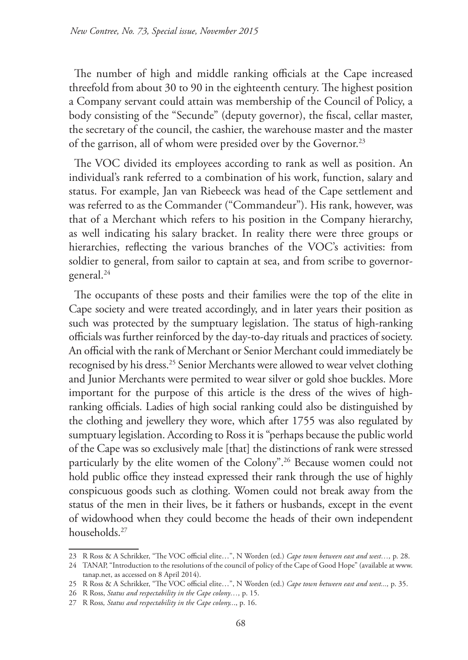The number of high and middle ranking officials at the Cape increased threefold from about 30 to 90 in the eighteenth century. The highest position a Company servant could attain was membership of the Council of Policy, a body consisting of the "Secunde" (deputy governor), the fiscal, cellar master, the secretary of the council, the cashier, the warehouse master and the master of the garrison, all of whom were presided over by the Governor.<sup>23</sup>

The VOC divided its employees according to rank as well as position. An individual's rank referred to a combination of his work, function, salary and status. For example, Jan van Riebeeck was head of the Cape settlement and was referred to as the Commander ("Commandeur"). His rank, however, was that of a Merchant which refers to his position in the Company hierarchy, as well indicating his salary bracket. In reality there were three groups or hierarchies, reflecting the various branches of the VOC's activities: from soldier to general, from sailor to captain at sea, and from scribe to governorgeneral.24

The occupants of these posts and their families were the top of the elite in Cape society and were treated accordingly, and in later years their position as such was protected by the sumptuary legislation. The status of high-ranking officials was further reinforced by the day-to-day rituals and practices of society. An official with the rank of Merchant or Senior Merchant could immediately be recognised by his dress.25 Senior Merchants were allowed to wear velvet clothing and Junior Merchants were permited to wear silver or gold shoe buckles. More important for the purpose of this article is the dress of the wives of highranking officials. Ladies of high social ranking could also be distinguished by the clothing and jewellery they wore, which after 1755 was also regulated by sumptuary legislation. According to Ross it is "perhaps because the public world of the Cape was so exclusively male [that] the distinctions of rank were stressed particularly by the elite women of the Colony".26 Because women could not hold public office they instead expressed their rank through the use of highly conspicuous goods such as clothing. Women could not break away from the status of the men in their lives, be it fathers or husbands, except in the event of widowhood when they could become the heads of their own independent households.27

<sup>23</sup> R Ross & A Schrikker, "The VOC official elite…", N Worden (ed.) *Cape town between east and west…,* p. 28.

<sup>24</sup> TANAP, "Introduction to the resolutions of the council of policy of the Cape of Good Hope" (available at www. tanap.net, as accessed on 8 April 2014).

<sup>25</sup> R Ross & A Schrikker, "The VOC official elite…", N Worden (ed.) *Cape town between east and west...,* p. 35.

<sup>26</sup> R Ross, *Status and respectability in the Cape colony…,* p. 15.

<sup>27</sup> R Ross*, Status and respectability in the Cape colony..*., p. 16.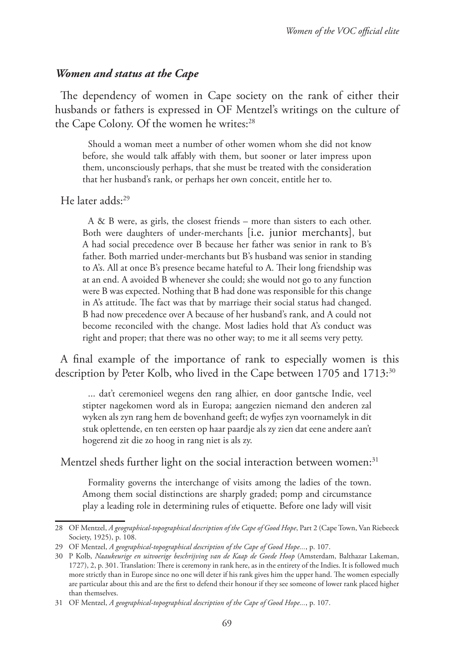## *Women and status at the Cape*

The dependency of women in Cape society on the rank of either their husbands or fathers is expressed in OF Mentzel's writings on the culture of the Cape Colony. Of the women he writes:<sup>28</sup>

Should a woman meet a number of other women whom she did not know before, she would talk affably with them, but sooner or later impress upon them, unconsciously perhaps, that she must be treated with the consideration that her husband's rank, or perhaps her own conceit, entitle her to.

He later adds:29

A & B were, as girls, the closest friends – more than sisters to each other. Both were daughters of under-merchants [i.e. junior merchants], but A had social precedence over B because her father was senior in rank to B's father. Both married under-merchants but B's husband was senior in standing to A's. All at once B's presence became hateful to A. Their long friendship was at an end. A avoided B whenever she could; she would not go to any function were B was expected. Nothing that B had done was responsible for this change in A's attitude. The fact was that by marriage their social status had changed. B had now precedence over A because of her husband's rank, and A could not become reconciled with the change. Most ladies hold that A's conduct was right and proper; that there was no other way; to me it all seems very petty.

A final example of the importance of rank to especially women is this description by Peter Kolb, who lived in the Cape between 1705 and 1713:<sup>30</sup>

... dat't ceremonieel wegens den rang alhier, en door gantsche Indie, veel stipter nagekomen word als in Europa; aangezien niemand den anderen zal wyken als zyn rang hem de bovenhand geeft; de wyfjes zyn voornamelyk in dit stuk oplettende, en ten eersten op haar paardje als zy zien dat eene andere aan't hogerend zit die zo hoog in rang niet is als zy.

#### Mentzel sheds further light on the social interaction between women:<sup>31</sup>

Formality governs the interchange of visits among the ladies of the town. Among them social distinctions are sharply graded; pomp and circumstance play a leading role in determining rules of etiquette. Before one lady will visit

<sup>28</sup> OF Mentzel, *A geographical-topographical description of the Cape of Good Hope*, Part 2 (Cape Town, Van Riebeeck Society, 1925), p. 108.

<sup>29</sup> OF Mentzel, *A geographical-topographical description of the Cape of Good Hope...*, p. 107.

<sup>30</sup> P Kolb, *Naaukeurige en uitvoerige beschrijving van de Kaap de Goede Hoop* (Amsterdam, Balthazar Lakeman, 1727), 2, p. 301. Translation: There is ceremony in rank here, as in the entirety of the Indies. It is followed much more strictly than in Europe since no one will deter if his rank gives him the upper hand. The women especially are particular about this and are the first to defend their honour if they see someone of lower rank placed higher than themselves.

<sup>31</sup> OF Mentzel, *A geographical-topographical description of the Cape of Good Hope...*, p. 107.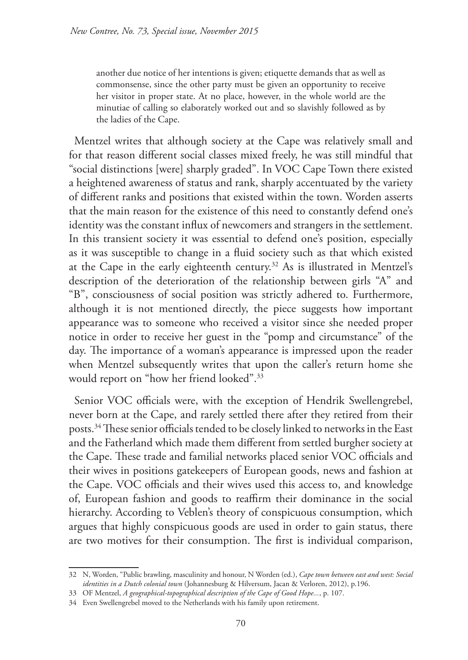another due notice of her intentions is given; etiquette demands that as well as commonsense, since the other party must be given an opportunity to receive her visitor in proper state. At no place, however, in the whole world are the minutiae of calling so elaborately worked out and so slavishly followed as by the ladies of the Cape.

Mentzel writes that although society at the Cape was relatively small and for that reason different social classes mixed freely, he was still mindful that "social distinctions [were] sharply graded". In VOC Cape Town there existed a heightened awareness of status and rank, sharply accentuated by the variety of different ranks and positions that existed within the town. Worden asserts that the main reason for the existence of this need to constantly defend one's identity was the constant influx of newcomers and strangers in the settlement. In this transient society it was essential to defend one's position, especially as it was susceptible to change in a fluid society such as that which existed at the Cape in the early eighteenth century.32 As is illustrated in Mentzel's description of the deterioration of the relationship between girls "A" and "B", consciousness of social position was strictly adhered to. Furthermore, although it is not mentioned directly, the piece suggests how important appearance was to someone who received a visitor since she needed proper notice in order to receive her guest in the "pomp and circumstance" of the day. The importance of a woman's appearance is impressed upon the reader when Mentzel subsequently writes that upon the caller's return home she would report on "how her friend looked".33

Senior VOC officials were, with the exception of Hendrik Swellengrebel, never born at the Cape, and rarely settled there after they retired from their posts.34 These senior officials tended to be closely linked to networks in the East and the Fatherland which made them different from settled burgher society at the Cape. These trade and familial networks placed senior VOC officials and their wives in positions gatekeepers of European goods, news and fashion at the Cape. VOC officials and their wives used this access to, and knowledge of, European fashion and goods to reaffirm their dominance in the social hierarchy. According to Veblen's theory of conspicuous consumption, which argues that highly conspicuous goods are used in order to gain status, there are two motives for their consumption. The first is individual comparison,

<sup>32</sup> N, Worden, "Public brawling, masculinity and honour, N Worden (ed.), *Cape town between east and west: Social identities in a Dutch colonial town* (Johannesburg & Hilversum, Jacan & Verloren, 2012), p.196.

<sup>33</sup> OF Mentzel, *A geographical-topographical description of the Cape of Good Hope...*, p. 107.

<sup>34</sup> Even Swellengrebel moved to the Netherlands with his family upon retirement.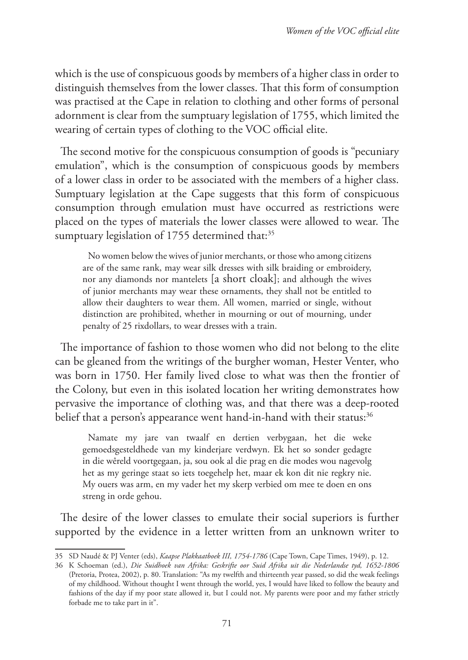which is the use of conspicuous goods by members of a higher class in order to distinguish themselves from the lower classes. That this form of consumption was practised at the Cape in relation to clothing and other forms of personal adornment is clear from the sumptuary legislation of 1755, which limited the wearing of certain types of clothing to the VOC official elite.

The second motive for the conspicuous consumption of goods is "pecuniary emulation", which is the consumption of conspicuous goods by members of a lower class in order to be associated with the members of a higher class. Sumptuary legislation at the Cape suggests that this form of conspicuous consumption through emulation must have occurred as restrictions were placed on the types of materials the lower classes were allowed to wear. The sumptuary legislation of 1755 determined that:<sup>35</sup>

No women below the wives of junior merchants, or those who among citizens are of the same rank, may wear silk dresses with silk braiding or embroidery, nor any diamonds nor mantelets [a short cloak]; and although the wives of junior merchants may wear these ornaments, they shall not be entitled to allow their daughters to wear them. All women, married or single, without distinction are prohibited, whether in mourning or out of mourning, under penalty of 25 rixdollars, to wear dresses with a train.

The importance of fashion to those women who did not belong to the elite can be gleaned from the writings of the burgher woman, Hester Venter, who was born in 1750. Her family lived close to what was then the frontier of the Colony, but even in this isolated location her writing demonstrates how pervasive the importance of clothing was, and that there was a deep-rooted belief that a person's appearance went hand-in-hand with their status:<sup>36</sup>

Namate my jare van twaalf en dertien verbygaan, het die weke gemoedsgesteldhede van my kinderjare verdwyn. Ek het so sonder gedagte in die wêreld voortgegaan, ja, sou ook al die prag en die modes wou nagevolg het as my geringe staat so iets toegehelp het, maar ek kon dit nie regkry nie. My ouers was arm, en my vader het my skerp verbied om mee te doen en ons streng in orde gehou.

The desire of the lower classes to emulate their social superiors is further supported by the evidence in a letter written from an unknown writer to

<sup>35</sup> SD Naudé & PJ Venter (eds), *Kaapse Plakkaatboek III, 1754-1786* (Cape Town, Cape Times, 1949), p. 12.

<sup>36</sup> K Schoeman (ed.), *Die Suidhoek van Afrika: Geskrifte oor Suid Afrika uit die Nederlandse tyd, 1652-1806* (Pretoria, Protea, 2002), p. 80. Translation: "As my twelfth and thirteenth year passed, so did the weak feelings of my childhood. Without thought I went through the world, yes, I would have liked to follow the beauty and fashions of the day if my poor state allowed it, but I could not. My parents were poor and my father strictly forbade me to take part in it".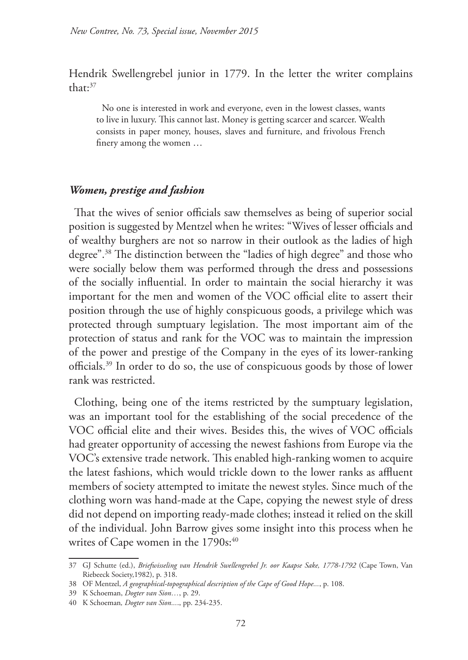Hendrik Swellengrebel junior in 1779. In the letter the writer complains that:37

No one is interested in work and everyone, even in the lowest classes, wants to live in luxury. This cannot last. Money is getting scarcer and scarcer. Wealth consists in paper money, houses, slaves and furniture, and frivolous French finery among the women …

#### *Women, prestige and fashion*

That the wives of senior officials saw themselves as being of superior social position is suggested by Mentzel when he writes: "Wives of lesser officials and of wealthy burghers are not so narrow in their outlook as the ladies of high degree".38 The distinction between the "ladies of high degree" and those who were socially below them was performed through the dress and possessions of the socially influential. In order to maintain the social hierarchy it was important for the men and women of the VOC official elite to assert their position through the use of highly conspicuous goods, a privilege which was protected through sumptuary legislation. The most important aim of the protection of status and rank for the VOC was to maintain the impression of the power and prestige of the Company in the eyes of its lower-ranking officials.39 In order to do so, the use of conspicuous goods by those of lower rank was restricted.

Clothing, being one of the items restricted by the sumptuary legislation, was an important tool for the establishing of the social precedence of the VOC official elite and their wives. Besides this, the wives of VOC officials had greater opportunity of accessing the newest fashions from Europe via the VOC's extensive trade network. This enabled high-ranking women to acquire the latest fashions, which would trickle down to the lower ranks as affluent members of society attempted to imitate the newest styles. Since much of the clothing worn was hand-made at the Cape, copying the newest style of dress did not depend on importing ready-made clothes; instead it relied on the skill of the individual. John Barrow gives some insight into this process when he writes of Cape women in the 1790s:<sup>40</sup>

<sup>37</sup> GJ Schutte (ed.), *Briefwisseling van Hendrik Swellengrebel Jr. oor Kaapse Sake, 1778-1792* (Cape Town, Van Riebeeck Society,1982), p. 318.

<sup>38</sup> OF Mentzel, *A geographical-topographical description of the Cape of Good Hope...*, p. 108.

<sup>39</sup> K Schoeman, *Dogter van Sion…*, p. 29.

<sup>40</sup> K Schoeman*, Dogter van Sion...*., pp. 234-235.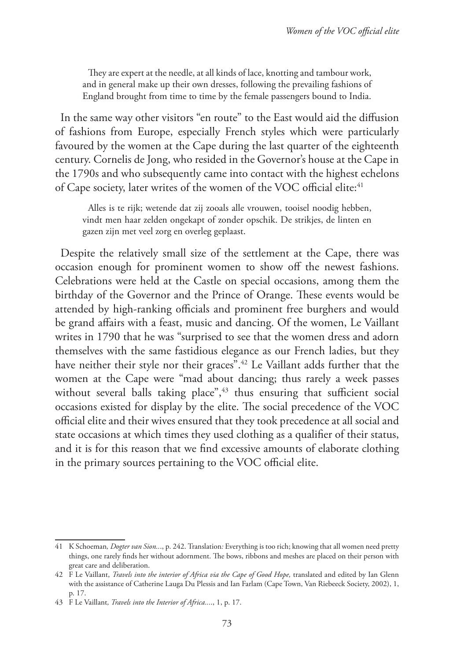They are expert at the needle, at all kinds of lace, knotting and tambour work, and in general make up their own dresses, following the prevailing fashions of England brought from time to time by the female passengers bound to India.

In the same way other visitors "en route" to the East would aid the diffusion of fashions from Europe, especially French styles which were particularly favoured by the women at the Cape during the last quarter of the eighteenth century. Cornelis de Jong, who resided in the Governor's house at the Cape in the 1790s and who subsequently came into contact with the highest echelons of Cape society, later writes of the women of the VOC official elite:<sup>41</sup>

Alles is te rijk; wetende dat zij zooals alle vrouwen, tooisel noodig hebben, vindt men haar zelden ongekapt of zonder opschik. De strikjes, de linten en gazen zijn met veel zorg en overleg geplaast.

Despite the relatively small size of the settlement at the Cape, there was occasion enough for prominent women to show off the newest fashions. Celebrations were held at the Castle on special occasions, among them the birthday of the Governor and the Prince of Orange. These events would be attended by high-ranking officials and prominent free burghers and would be grand affairs with a feast, music and dancing. Of the women, Le Vaillant writes in 1790 that he was "surprised to see that the women dress and adorn themselves with the same fastidious elegance as our French ladies, but they have neither their style nor their graces".42 Le Vaillant adds further that the women at the Cape were "mad about dancing; thus rarely a week passes without several balls taking place",<sup>43</sup> thus ensuring that sufficient social occasions existed for display by the elite. The social precedence of the VOC official elite and their wives ensured that they took precedence at all social and state occasions at which times they used clothing as a qualifier of their status, and it is for this reason that we find excessive amounts of elaborate clothing in the primary sources pertaining to the VOC official elite.

<sup>41</sup> K Schoeman*, Dogter van Sion..*., p. 242. Translation*:* Everything is too rich; knowing that all women need pretty things, one rarely finds her without adornment. The bows, ribbons and meshes are placed on their person with great care and deliberation.

<sup>42</sup> F Le Vaillant, *Travels into the interior of Africa via the Cape of Good Hope,* translated and edited by Ian Glenn with the assistance of Catherine Lauga Du Plessis and Ian Farlam (Cape Town, Van Riebeeck Society, 2002), 1, p. 17.

<sup>43</sup> F Le Vaillant*, Travels into the Interior of Africa...*., 1, p. 17.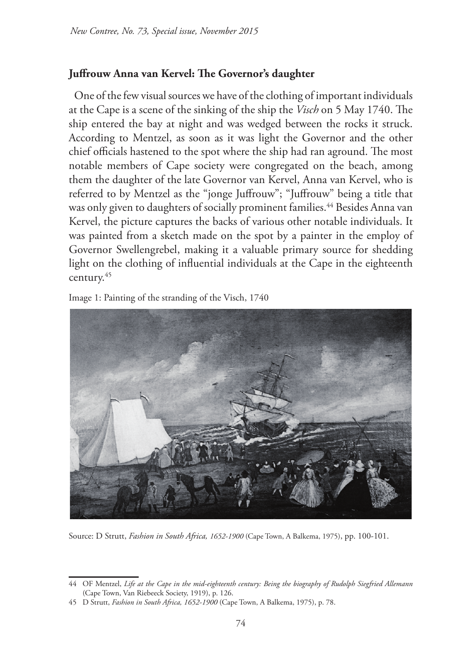# **Juffrouw Anna van Kervel: The Governor's daughter**

One of the few visual sources we have of the clothing of important individuals at the Cape is a scene of the sinking of the ship the *Visch* on 5 May 1740. The ship entered the bay at night and was wedged between the rocks it struck. According to Mentzel, as soon as it was light the Governor and the other chief officials hastened to the spot where the ship had ran aground. The most notable members of Cape society were congregated on the beach, among them the daughter of the late Governor van Kervel, Anna van Kervel, who is referred to by Mentzel as the "jonge Juffrouw"; "Juffrouw" being a title that was only given to daughters of socially prominent families.<sup>44</sup> Besides Anna van Kervel, the picture captures the backs of various other notable individuals. It was painted from a sketch made on the spot by a painter in the employ of Governor Swellengrebel, making it a valuable primary source for shedding light on the clothing of influential individuals at the Cape in the eighteenth century.45

Image 1: Painting of the stranding of the Visch, 1740



Source: D Strutt, *Fashion in South Africa, 1652-1900* (Cape Town, A Balkema, 1975), pp. 100-101.

<sup>44</sup> OF Mentzel, *Life at the Cape in the mid-eighteenth century: Being the biography of Rudolph Siegfried Allemann* (Cape Town, Van Riebeeck Society, 1919), p. 126.

<sup>45</sup> D Strutt, *Fashion in South Africa, 1652-1900* (Cape Town, A Balkema, 1975), p. 78.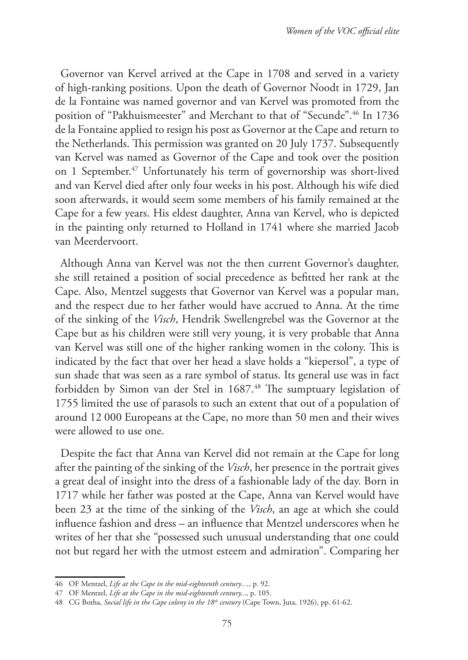Governor van Kervel arrived at the Cape in 1708 and served in a variety of high-ranking positions. Upon the death of Governor Noodt in 1729, Jan de la Fontaine was named governor and van Kervel was promoted from the position of "Pakhuismeester" and Merchant to that of "Secunde".46 In 1736 de la Fontaine applied to resign his post as Governor at the Cape and return to the Netherlands. This permission was granted on 20 July 1737. Subsequently van Kervel was named as Governor of the Cape and took over the position on 1 September.<sup>47</sup> Unfortunately his term of governorship was short-lived and van Kervel died after only four weeks in his post. Although his wife died soon afterwards, it would seem some members of his family remained at the Cape for a few years. His eldest daughter, Anna van Kervel, who is depicted in the painting only returned to Holland in 1741 where she married Jacob van Meerdervoort.

Although Anna van Kervel was not the then current Governor's daughter, she still retained a position of social precedence as befitted her rank at the Cape. Also, Mentzel suggests that Governor van Kervel was a popular man, and the respect due to her father would have accrued to Anna. At the time of the sinking of the *Visch*, Hendrik Swellengrebel was the Governor at the Cape but as his children were still very young, it is very probable that Anna van Kervel was still one of the higher ranking women in the colony. This is indicated by the fact that over her head a slave holds a "kiepersol", a type of sun shade that was seen as a rare symbol of status. Its general use was in fact forbidden by Simon van der Stel in 1687.<sup>48</sup> The sumptuary legislation of 1755 limited the use of parasols to such an extent that out of a population of around 12 000 Europeans at the Cape, no more than 50 men and their wives were allowed to use one.

Despite the fact that Anna van Kervel did not remain at the Cape for long after the painting of the sinking of the *Visch*, her presence in the portrait gives a great deal of insight into the dress of a fashionable lady of the day. Born in 1717 while her father was posted at the Cape, Anna van Kervel would have been 23 at the time of the sinking of the *Visch*, an age at which she could influence fashion and dress – an influence that Mentzel underscores when he writes of her that she "possessed such unusual understanding that one could not but regard her with the utmost esteem and admiration". Comparing her

<sup>46</sup> OF Mentzel, *Life at the Cape in the mid-eighteenth century*…, p. 92.

<sup>47</sup> OF Mentzel, *Life at the Cape in the mid-eighteenth century..*., p. 105.

<sup>48</sup> CG Botha, *Social life in the Cape colony in the 18th century* (Cape Town, Juta, 1926), pp. 61-62.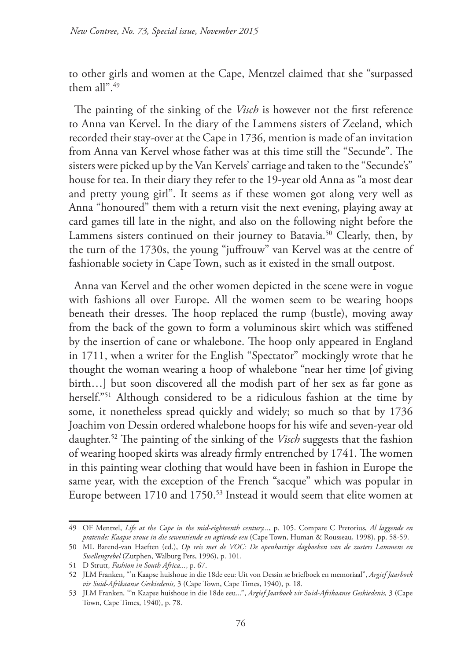to other girls and women at the Cape, Mentzel claimed that she "surpassed them all" $49$ 

The painting of the sinking of the *Visch* is however not the first reference to Anna van Kervel. In the diary of the Lammens sisters of Zeeland, which recorded their stay-over at the Cape in 1736, mention is made of an invitation from Anna van Kervel whose father was at this time still the "Secunde". The sisters were picked up by the Van Kervels' carriage and taken to the "Secunde's" house for tea. In their diary they refer to the 19-year old Anna as "a most dear and pretty young girl". It seems as if these women got along very well as Anna "honoured" them with a return visit the next evening, playing away at card games till late in the night, and also on the following night before the Lammens sisters continued on their journey to Batavia.<sup>50</sup> Clearly, then, by the turn of the 1730s, the young "juffrouw" van Kervel was at the centre of fashionable society in Cape Town, such as it existed in the small outpost.

Anna van Kervel and the other women depicted in the scene were in vogue with fashions all over Europe. All the women seem to be wearing hoops beneath their dresses. The hoop replaced the rump (bustle), moving away from the back of the gown to form a voluminous skirt which was stiffened by the insertion of cane or whalebone. The hoop only appeared in England in 1711, when a writer for the English "Spectator" mockingly wrote that he thought the woman wearing a hoop of whalebone "near her time [of giving birth…] but soon discovered all the modish part of her sex as far gone as herself."51 Although considered to be a ridiculous fashion at the time by some, it nonetheless spread quickly and widely; so much so that by 1736 Joachim von Dessin ordered whalebone hoops for his wife and seven-year old daughter.52 The painting of the sinking of the *Visch* suggests that the fashion of wearing hooped skirts was already firmly entrenched by 1741. The women in this painting wear clothing that would have been in fashion in Europe the same year, with the exception of the French "sacque" which was popular in Europe between 1710 and 1750.53 Instead it would seem that elite women at

<sup>49</sup> OF Mentzel, *Life at the Cape in the mid-eighteenth century...*, p. 105. Compare C Pretorius, *Al laggende en pratende: Kaapse vroue in die sewentiende en agtiende eeu* (Cape Town, Human & Rousseau, 1998), pp. 58-59.

<sup>50</sup> ML Barend-van Haeften (ed.), *Op reis met de VOC: De openhartige dagboeken van de zusters Lammens en Swellengrebel* (Zutphen, Walburg Pers, 1996), p. 101.

<sup>51</sup> D Strutt, *Fashion in South Africa...*, p. 67.

<sup>52</sup> JLM Franken, "'n Kaapse huishoue in die 18de eeu: Uit von Dessin se briefboek en memoriaal", *Argief Jaarboek vir Suid-Afrikaanse Geskiedenis,* 3 (Cape Town, Cape Times, 1940), p. 18.

<sup>53</sup> JLM Franken*,* "'n Kaapse huishoue in die 18de eeu...", *Argief Jaarboek vir Suid-Afrikaanse Geskiedenis,* 3 (Cape Town, Cape Times, 1940), p. 78.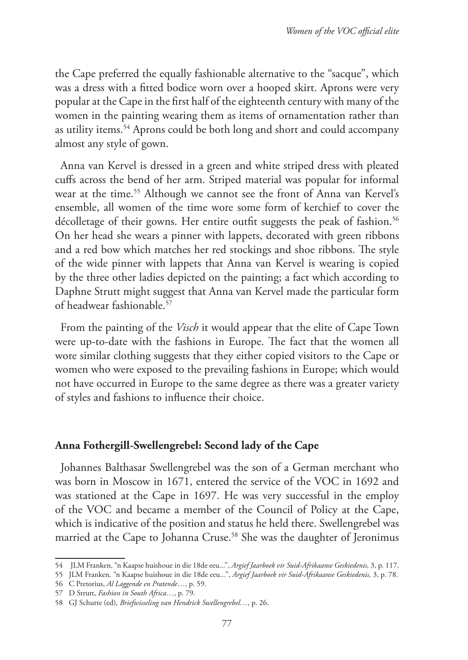the Cape preferred the equally fashionable alternative to the "sacque", which was a dress with a fitted bodice worn over a hooped skirt. Aprons were very popular at the Cape in the first half of the eighteenth century with many of the women in the painting wearing them as items of ornamentation rather than as utility items.54 Aprons could be both long and short and could accompany almost any style of gown.

Anna van Kervel is dressed in a green and white striped dress with pleated cuffs across the bend of her arm. Striped material was popular for informal wear at the time.<sup>55</sup> Although we cannot see the front of Anna van Kervel's ensemble, all women of the time wore some form of kerchief to cover the décolletage of their gowns. Her entire outfit suggests the peak of fashion.<sup>56</sup> On her head she wears a pinner with lappets, decorated with green ribbons and a red bow which matches her red stockings and shoe ribbons. The style of the wide pinner with lappets that Anna van Kervel is wearing is copied by the three other ladies depicted on the painting; a fact which according to Daphne Strutt might suggest that Anna van Kervel made the particular form of headwear fashionable.57

From the painting of the *Visch* it would appear that the elite of Cape Town were up-to-date with the fashions in Europe. The fact that the women all wore similar clothing suggests that they either copied visitors to the Cape or women who were exposed to the prevailing fashions in Europe; which would not have occurred in Europe to the same degree as there was a greater variety of styles and fashions to influence their choice.

## **Anna Fothergill-Swellengrebel: Second lady of the Cape**

Johannes Balthasar Swellengrebel was the son of a German merchant who was born in Moscow in 1671, entered the service of the VOC in 1692 and was stationed at the Cape in 1697. He was very successful in the employ of the VOC and became a member of the Council of Policy at the Cape, which is indicative of the position and status he held there. Swellengrebel was married at the Cape to Johanna Cruse.<sup>58</sup> She was the daughter of Jeronimus

<sup>54</sup> JLM Franken, "n Kaapse huishoue in die 18de eeu...", *Argief Jaarboek vir Suid-Afrikaanse Geskiedenis,* 3, p. 117.

<sup>55</sup> JLM Franken*,* "n Kaapse huishoue in die 18de eeu...", *Argief Jaarboek vir Suid-Afrikaanse Geskiedenis,* 3, p. 78.

<sup>56</sup> C Pretorius, *Al Laggende en Pratende…*, p. 59.

<sup>57</sup> D Strutt, *Fashion in South Africa…*, p. 79.

<sup>58</sup> GJ Schutte (ed), *Briefwisseling van Hendrick Swellengrebel…*, p. 26.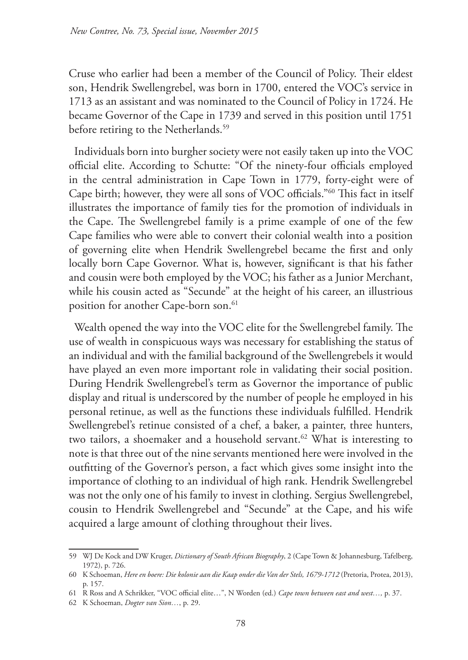Cruse who earlier had been a member of the Council of Policy. Their eldest son, Hendrik Swellengrebel, was born in 1700, entered the VOC's service in 1713 as an assistant and was nominated to the Council of Policy in 1724. He became Governor of the Cape in 1739 and served in this position until 1751 before retiring to the Netherlands.<sup>59</sup>

Individuals born into burgher society were not easily taken up into the VOC official elite. According to Schutte: "Of the ninety-four officials employed in the central administration in Cape Town in 1779, forty-eight were of Cape birth; however, they were all sons of VOC officials."60 This fact in itself illustrates the importance of family ties for the promotion of individuals in the Cape. The Swellengrebel family is a prime example of one of the few Cape families who were able to convert their colonial wealth into a position of governing elite when Hendrik Swellengrebel became the first and only locally born Cape Governor. What is, however, significant is that his father and cousin were both employed by the VOC; his father as a Junior Merchant, while his cousin acted as "Secunde" at the height of his career, an illustrious position for another Cape-born son.<sup>61</sup>

Wealth opened the way into the VOC elite for the Swellengrebel family. The use of wealth in conspicuous ways was necessary for establishing the status of an individual and with the familial background of the Swellengrebels it would have played an even more important role in validating their social position. During Hendrik Swellengrebel's term as Governor the importance of public display and ritual is underscored by the number of people he employed in his personal retinue, as well as the functions these individuals fulfilled. Hendrik Swellengrebel's retinue consisted of a chef, a baker, a painter, three hunters, two tailors, a shoemaker and a household servant.<sup>62</sup> What is interesting to note is that three out of the nine servants mentioned here were involved in the outfitting of the Governor's person, a fact which gives some insight into the importance of clothing to an individual of high rank. Hendrik Swellengrebel was not the only one of his family to invest in clothing. Sergius Swellengrebel, cousin to Hendrik Swellengrebel and "Secunde" at the Cape, and his wife acquired a large amount of clothing throughout their lives.

<sup>59</sup> WJ De Kock and DW Kruger, *Dictionary of South African Biography*, 2 (Cape Town & Johannesburg, Tafelberg, 1972), p. 726.

<sup>60</sup> K Schoeman, *Here en boere: Die kolonie aan die Kaap onder die Van der Stels, 1679-1712* (Pretoria, Protea, 2013), p. 157.

<sup>61</sup> R Ross and A Schrikker, "VOC official elite…", N Worden (ed.) *Cape town between east and west…,* p. 37.

<sup>62</sup> K Schoeman, *Dogter van Sion…*, p. 29.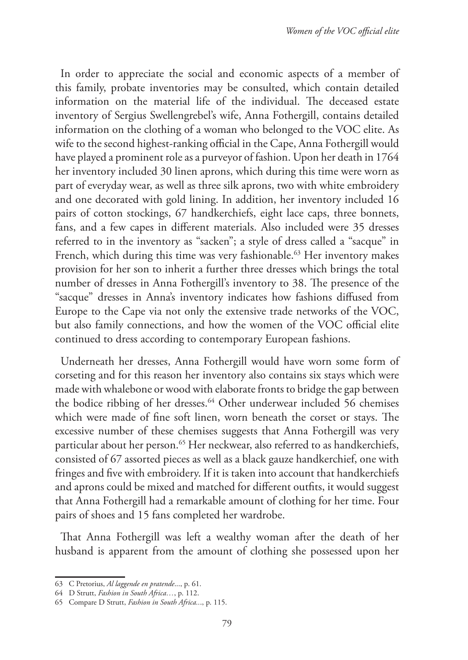In order to appreciate the social and economic aspects of a member of this family, probate inventories may be consulted, which contain detailed information on the material life of the individual. The deceased estate inventory of Sergius Swellengrebel's wife, Anna Fothergill, contains detailed information on the clothing of a woman who belonged to the VOC elite. As wife to the second highest-ranking official in the Cape, Anna Fothergill would have played a prominent role as a purveyor of fashion. Upon her death in 1764 her inventory included 30 linen aprons, which during this time were worn as part of everyday wear, as well as three silk aprons, two with white embroidery and one decorated with gold lining. In addition, her inventory included 16 pairs of cotton stockings, 67 handkerchiefs, eight lace caps, three bonnets, fans, and a few capes in different materials. Also included were 35 dresses referred to in the inventory as "sacken"; a style of dress called a "sacque" in French, which during this time was very fashionable.<sup>63</sup> Her inventory makes provision for her son to inherit a further three dresses which brings the total number of dresses in Anna Fothergill's inventory to 38. The presence of the "sacque" dresses in Anna's inventory indicates how fashions diffused from Europe to the Cape via not only the extensive trade networks of the VOC, but also family connections, and how the women of the VOC official elite continued to dress according to contemporary European fashions.

Underneath her dresses, Anna Fothergill would have worn some form of corseting and for this reason her inventory also contains six stays which were made with whalebone or wood with elaborate fronts to bridge the gap between the bodice ribbing of her dresses.<sup>64</sup> Other underwear included 56 chemises which were made of fine soft linen, worn beneath the corset or stays. The excessive number of these chemises suggests that Anna Fothergill was very particular about her person.<sup>65</sup> Her neckwear, also referred to as handkerchiefs, consisted of 67 assorted pieces as well as a black gauze handkerchief, one with fringes and five with embroidery. If it is taken into account that handkerchiefs and aprons could be mixed and matched for different outfits, it would suggest that Anna Fothergill had a remarkable amount of clothing for her time. Four pairs of shoes and 15 fans completed her wardrobe.

That Anna Fothergill was left a wealthy woman after the death of her husband is apparent from the amount of clothing she possessed upon her

<sup>63</sup> C Pretorius, *Al laggende en pratende*..., p. 61.

<sup>64</sup> D Strutt, *Fashion in South Africa…*, p. 112.

<sup>65</sup> Compare D Strutt, *Fashion in South Africa..*., p. 115.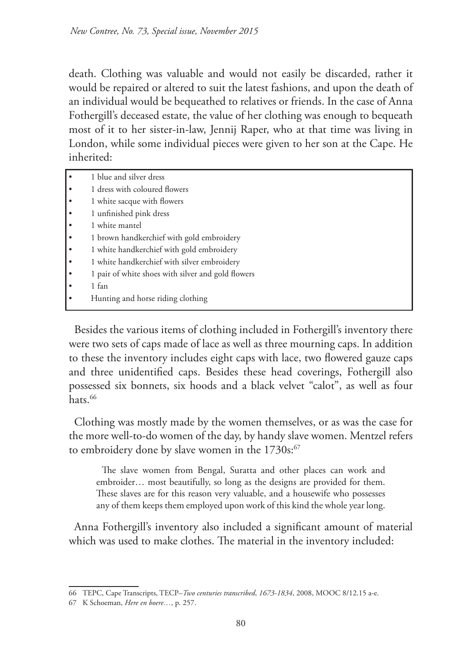death. Clothing was valuable and would not easily be discarded, rather it would be repaired or altered to suit the latest fashions, and upon the death of an individual would be bequeathed to relatives or friends. In the case of Anna Fothergill's deceased estate, the value of her clothing was enough to bequeath most of it to her sister-in-law, Jennij Raper, who at that time was living in London, while some individual pieces were given to her son at the Cape. He inherited:

- 1 blue and silver dress
- 1 dress with coloured flowers
- 1 white sacque with flowers
- 1 unfinished pink dress
- 1 white mantel
- 1 brown handkerchief with gold embroidery
- 1 white handkerchief with gold embroidery
- 1 white handkerchief with silver embroidery
- 1 pair of white shoes with silver and gold flowers
- 1 fan
- Hunting and horse riding clothing

Besides the various items of clothing included in Fothergill's inventory there were two sets of caps made of lace as well as three mourning caps. In addition to these the inventory includes eight caps with lace, two flowered gauze caps and three unidentified caps. Besides these head coverings, Fothergill also possessed six bonnets, six hoods and a black velvet "calot", as well as four hats.<sup>66</sup>

Clothing was mostly made by the women themselves, or as was the case for the more well-to-do women of the day, by handy slave women. Mentzel refers to embroidery done by slave women in the  $1730s$ : $67$ 

The slave women from Bengal, Suratta and other places can work and embroider… most beautifully, so long as the designs are provided for them. These slaves are for this reason very valuable, and a housewife who possesses any of them keeps them employed upon work of this kind the whole year long.

Anna Fothergill's inventory also included a significant amount of material which was used to make clothes. The material in the inventory included:

<sup>66</sup> TEPC, Cape Transcripts, TECP–*Two centuries transcribed*, *1673-1834*, 2008, MOOC 8/12.15 a-e.

<sup>67</sup> K Schoeman, *Here en boere…*, p. 257.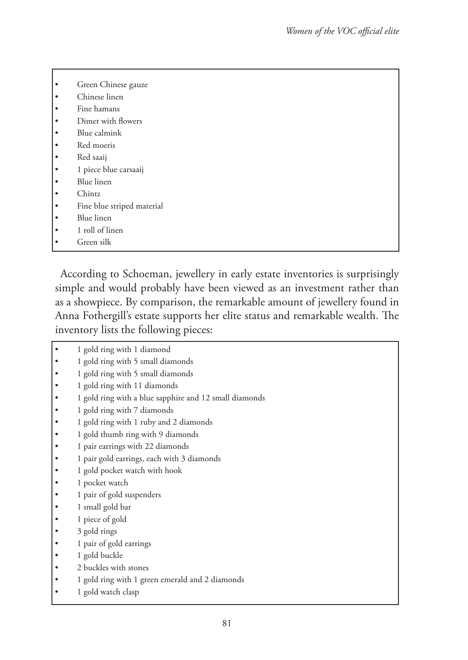| $\bullet$ | Green Chinese gauze        |
|-----------|----------------------------|
| ٠         | Chinese linen              |
| ٠         | Fine hamans                |
| $\bullet$ | Dimet with flowers         |
| ٠         | Blue calmink               |
| $\bullet$ | Red moeris                 |
| $\bullet$ | Red saaij                  |
| $\bullet$ | 1 piece blue carsaaij      |
| $\bullet$ | Blue linen                 |
| ٠         | Chintz                     |
| $\bullet$ | Fine blue striped material |
| ٠         | Blue linen                 |
| ٠         | 1 roll of linen            |
|           | Green silk                 |

According to Schoeman, jewellery in early estate inventories is surprisingly simple and would probably have been viewed as an investment rather than as a showpiece. By comparison, the remarkable amount of jewellery found in Anna Fothergill's estate supports her elite status and remarkable wealth. The inventory lists the following pieces:

|  | 1 gold ring with 1 diamond                             |
|--|--------------------------------------------------------|
|  | 1 gold ring with 5 small diamonds                      |
|  | 1 gold ring with 5 small diamonds                      |
|  | 1 gold ring with 11 diamonds                           |
|  | 1 gold ring with a blue sapphire and 12 small diamonds |
|  | 1 gold ring with 7 diamonds                            |
|  | 1 gold ring with 1 ruby and 2 diamonds                 |
|  | 1 gold thumb ring with 9 diamonds                      |
|  | 1 pair earrings with 22 diamonds                       |
|  | 1 pair gold earrings, each with 3 diamonds             |
|  | 1 gold pocket watch with hook                          |
|  | 1 pocket watch                                         |
|  | 1 pair of gold suspenders                              |
|  | 1 small gold bar                                       |
|  | 1 piece of gold                                        |
|  | 3 gold rings                                           |
|  | 1 pair of gold earrings                                |
|  | 1 gold buckle                                          |
|  | 2 buckles with stones                                  |
|  | 1 gold ring with 1 green emerald and 2 diamonds        |
|  |                                                        |

1 gold watch clasp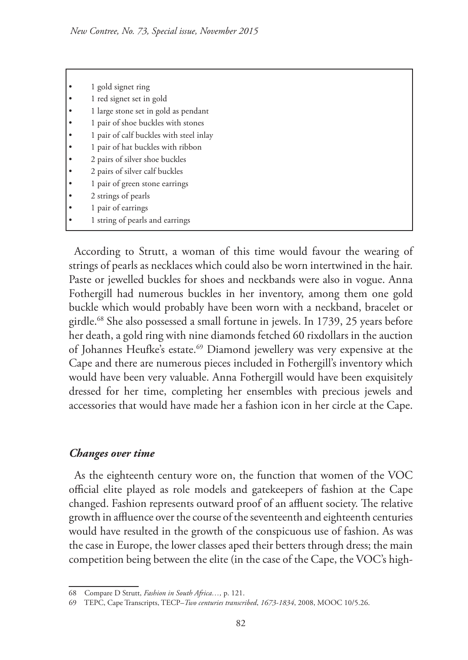|           | 1 gold signet ring                      |
|-----------|-----------------------------------------|
|           | 1 red signet set in gold                |
|           | 1 large stone set in gold as pendant    |
|           | 1 pair of shoe buckles with stones      |
|           | 1 pair of calf buckles with steel inlay |
| $\bullet$ | 1 pair of hat buckles with ribbon       |
| $\bullet$ | 2 pairs of silver shoe buckles          |
|           | 2 pairs of silver calf buckles          |
|           | 1 pair of green stone earrings          |
|           | 2 strings of pearls                     |
|           | 1 pair of earrings                      |
|           | 1 string of pearls and earrings         |
|           |                                         |

According to Strutt, a woman of this time would favour the wearing of strings of pearls as necklaces which could also be worn intertwined in the hair. Paste or jewelled buckles for shoes and neckbands were also in vogue. Anna Fothergill had numerous buckles in her inventory, among them one gold buckle which would probably have been worn with a neckband, bracelet or girdle.68 She also possessed a small fortune in jewels. In 1739, 25 years before her death, a gold ring with nine diamonds fetched 60 rixdollars in the auction of Johannes Heufke's estate.<sup>69</sup> Diamond jewellery was very expensive at the Cape and there are numerous pieces included in Fothergill's inventory which would have been very valuable. Anna Fothergill would have been exquisitely dressed for her time, completing her ensembles with precious jewels and accessories that would have made her a fashion icon in her circle at the Cape.

## *Changes over time*

As the eighteenth century wore on, the function that women of the VOC official elite played as role models and gatekeepers of fashion at the Cape changed. Fashion represents outward proof of an affluent society. The relative growth in affluence over the course of the seventeenth and eighteenth centuries would have resulted in the growth of the conspicuous use of fashion. As was the case in Europe, the lower classes aped their betters through dress; the main competition being between the elite (in the case of the Cape, the VOC's high-

<sup>68</sup> Compare D Strutt, *Fashion in South Africa…,* p. 121.

<sup>69</sup> TEPC, Cape Transcripts, TECP–*Two centuries transcribed*, *1673-1834*, 2008, MOOC 10/5.26.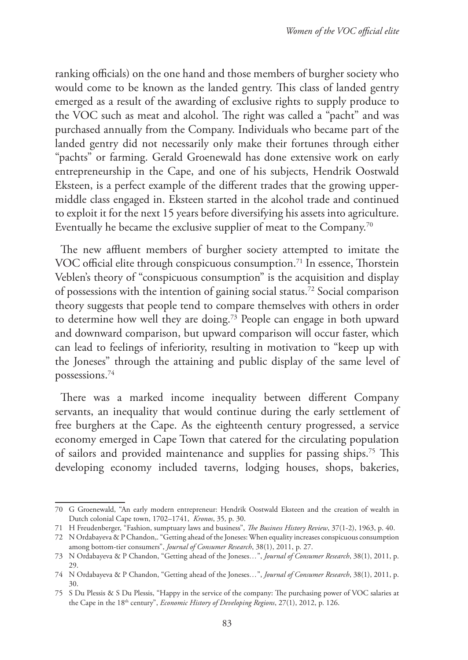ranking officials) on the one hand and those members of burgher society who would come to be known as the landed gentry. This class of landed gentry emerged as a result of the awarding of exclusive rights to supply produce to the VOC such as meat and alcohol. The right was called a "pacht" and was purchased annually from the Company. Individuals who became part of the landed gentry did not necessarily only make their fortunes through either "pachts" or farming. Gerald Groenewald has done extensive work on early entrepreneurship in the Cape, and one of his subjects, Hendrik Oostwald Eksteen, is a perfect example of the different trades that the growing uppermiddle class engaged in. Eksteen started in the alcohol trade and continued to exploit it for the next 15 years before diversifying his assets into agriculture. Eventually he became the exclusive supplier of meat to the Company.70

The new affluent members of burgher society attempted to imitate the VOC official elite through conspicuous consumption.<sup>71</sup> In essence, Thorstein Veblen's theory of "conspicuous consumption" is the acquisition and display of possessions with the intention of gaining social status.72 Social comparison theory suggests that people tend to compare themselves with others in order to determine how well they are doing.73 People can engage in both upward and downward comparison, but upward comparison will occur faster, which can lead to feelings of inferiority, resulting in motivation to "keep up with the Joneses" through the attaining and public display of the same level of possessions.74

There was a marked income inequality between different Company servants, an inequality that would continue during the early settlement of free burghers at the Cape. As the eighteenth century progressed, a service economy emerged in Cape Town that catered for the circulating population of sailors and provided maintenance and supplies for passing ships.75 This developing economy included taverns, lodging houses, shops, bakeries,

<sup>70</sup> G Groenewald, "An early modern entrepreneur: Hendrik Oostwald Eksteen and the creation of wealth in Dutch colonial Cape town, 1702–1741, *Kronos*, 35*,* p. 30.

<sup>71</sup> H Freudenberger, "Fashion, sumptuary laws and business", *The Business History Review*, 37(1-2), 1963, p. 40.

<sup>72</sup> N Ordabayeva & P Chandon,. "Getting ahead of the Joneses: When equality increases conspicuous consumption among bottom-tier consumers", *Journal of Consumer Research*, 38(1), 2011, p. 27.

<sup>73</sup> N Ordabayeva & P Chandon, "Getting ahead of the Joneses*…*", *Journal of Consumer Research*, 38(1), 2011, p. 29.

<sup>74</sup> N Ordabayeva & P Chandon, "Getting ahead of the Joneses*…*", *Journal of Consumer Research*, 38(1), 2011, p. 30.

<sup>75</sup> S Du Plessis & S Du Plessis, "Happy in the service of the company: The purchasing power of VOC salaries at the Cape in the 18th century", *Economic History of Developing Regions*, 27(1), 2012, p. 126.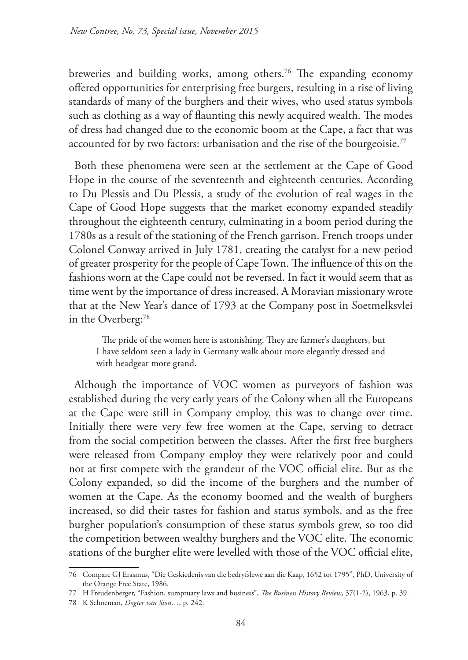breweries and building works, among others.<sup>76</sup> The expanding economy offered opportunities for enterprising free burgers, resulting in a rise of living standards of many of the burghers and their wives, who used status symbols such as clothing as a way of flaunting this newly acquired wealth. The modes of dress had changed due to the economic boom at the Cape, a fact that was accounted for by two factors: urbanisation and the rise of the bourgeoisie.<sup>77</sup>

Both these phenomena were seen at the settlement at the Cape of Good Hope in the course of the seventeenth and eighteenth centuries. According to Du Plessis and Du Plessis, a study of the evolution of real wages in the Cape of Good Hope suggests that the market economy expanded steadily throughout the eighteenth century, culminating in a boom period during the 1780s as a result of the stationing of the French garrison. French troops under Colonel Conway arrived in July 1781, creating the catalyst for a new period of greater prosperity for the people of Cape Town. The influence of this on the fashions worn at the Cape could not be reversed. In fact it would seem that as time went by the importance of dress increased. A Moravian missionary wrote that at the New Year's dance of 1793 at the Company post in Soetmelksvlei in the Overberg:<sup>78</sup>

The pride of the women here is astonishing. They are farmer's daughters, but I have seldom seen a lady in Germany walk about more elegantly dressed and with headgear more grand.

Although the importance of VOC women as purveyors of fashion was established during the very early years of the Colony when all the Europeans at the Cape were still in Company employ, this was to change over time. Initially there were very few free women at the Cape, serving to detract from the social competition between the classes. After the first free burghers were released from Company employ they were relatively poor and could not at first compete with the grandeur of the VOC official elite. But as the Colony expanded, so did the income of the burghers and the number of women at the Cape. As the economy boomed and the wealth of burghers increased, so did their tastes for fashion and status symbols, and as the free burgher population's consumption of these status symbols grew, so too did the competition between wealthy burghers and the VOC elite. The economic stations of the burgher elite were levelled with those of the VOC official elite,

<sup>76</sup> Compare GJ Erasmus, "Die Geskiedenis van die bedryfslewe aan die Kaap, 1652 tot 1795", PhD, University of the Orange Free State, 1986.

<sup>77</sup> H Freudenberger, "Fashion, sumptuary laws and business", *The Business History Review*, 37(1-2), 1963, p. 39.

<sup>78</sup> K Schoeman, *Dogter van Sion…*, p. 242.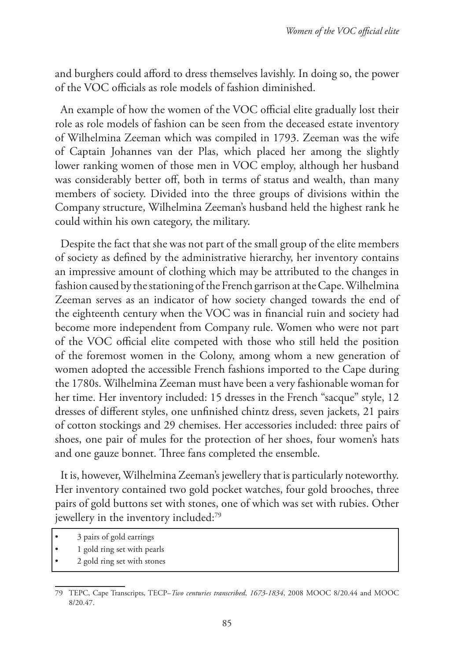and burghers could afford to dress themselves lavishly. In doing so, the power of the VOC officials as role models of fashion diminished.

An example of how the women of the VOC official elite gradually lost their role as role models of fashion can be seen from the deceased estate inventory of Wilhelmina Zeeman which was compiled in 1793. Zeeman was the wife of Captain Johannes van der Plas, which placed her among the slightly lower ranking women of those men in VOC employ, although her husband was considerably better off, both in terms of status and wealth, than many members of society. Divided into the three groups of divisions within the Company structure, Wilhelmina Zeeman's husband held the highest rank he could within his own category, the military.

Despite the fact that she was not part of the small group of the elite members of society as defined by the administrative hierarchy, her inventory contains an impressive amount of clothing which may be attributed to the changes in fashion caused by the stationing of the French garrison at the Cape. Wilhelmina Zeeman serves as an indicator of how society changed towards the end of the eighteenth century when the VOC was in financial ruin and society had become more independent from Company rule. Women who were not part of the VOC official elite competed with those who still held the position of the foremost women in the Colony, among whom a new generation of women adopted the accessible French fashions imported to the Cape during the 1780s. Wilhelmina Zeeman must have been a very fashionable woman for her time. Her inventory included: 15 dresses in the French "sacque" style, 12 dresses of different styles, one unfinished chintz dress, seven jackets, 21 pairs of cotton stockings and 29 chemises. Her accessories included: three pairs of shoes, one pair of mules for the protection of her shoes, four women's hats and one gauze bonnet. Three fans completed the ensemble.

It is, however, Wilhelmina Zeeman's jewellery that is particularly noteworthy. Her inventory contained two gold pocket watches, four gold brooches, three pairs of gold buttons set with stones, one of which was set with rubies. Other jewellery in the inventory included:<sup>79</sup>

- 1 gold ring set with pearls
- 2 gold ring set with stones

<sup>•</sup> 3 pairs of gold earrings

<sup>79</sup> TEPC, Cape Transcripts, TECP–*Two centuries transcribed*, *1673-1834*, 2008 MOOC 8/20.44 and MOOC 8/20.47.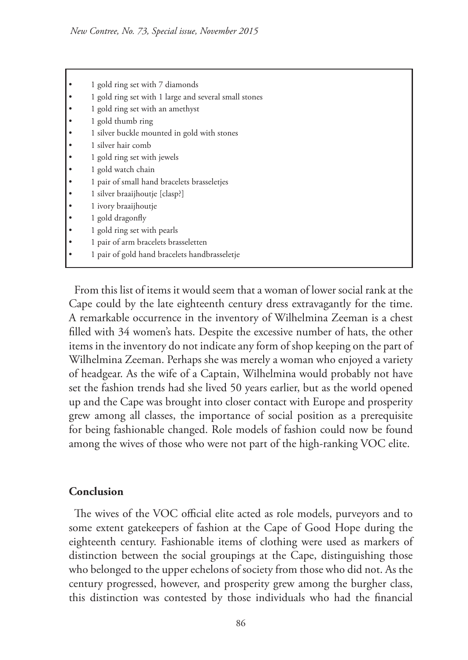- 1 gold ring set with 7 diamonds
- 1 gold ring set with 1 large and several small stones
- 1 gold ring set with an amethyst
- 1 gold thumb ring
- 1 silver buckle mounted in gold with stones
- 1 silver hair comb
- 1 gold ring set with jewels
- 1 gold watch chain
- 1 pair of small hand bracelets brasseletjes
- 1 silver braaijhoutje [clasp?]
- 1 ivory braaijhoutje
- 1 gold dragonfly
- 1 gold ring set with pearls
- 1 pair of arm bracelets brasseletten
- 1 pair of gold hand bracelets handbrasseletje

From this list of items it would seem that a woman of lower social rank at the Cape could by the late eighteenth century dress extravagantly for the time. A remarkable occurrence in the inventory of Wilhelmina Zeeman is a chest filled with 34 women's hats. Despite the excessive number of hats, the other items in the inventory do not indicate any form of shop keeping on the part of Wilhelmina Zeeman. Perhaps she was merely a woman who enjoyed a variety of headgear. As the wife of a Captain, Wilhelmina would probably not have set the fashion trends had she lived 50 years earlier, but as the world opened up and the Cape was brought into closer contact with Europe and prosperity grew among all classes, the importance of social position as a prerequisite for being fashionable changed. Role models of fashion could now be found among the wives of those who were not part of the high-ranking VOC elite.

#### **Conclusion**

The wives of the VOC official elite acted as role models, purveyors and to some extent gatekeepers of fashion at the Cape of Good Hope during the eighteenth century. Fashionable items of clothing were used as markers of distinction between the social groupings at the Cape, distinguishing those who belonged to the upper echelons of society from those who did not. As the century progressed, however, and prosperity grew among the burgher class, this distinction was contested by those individuals who had the financial